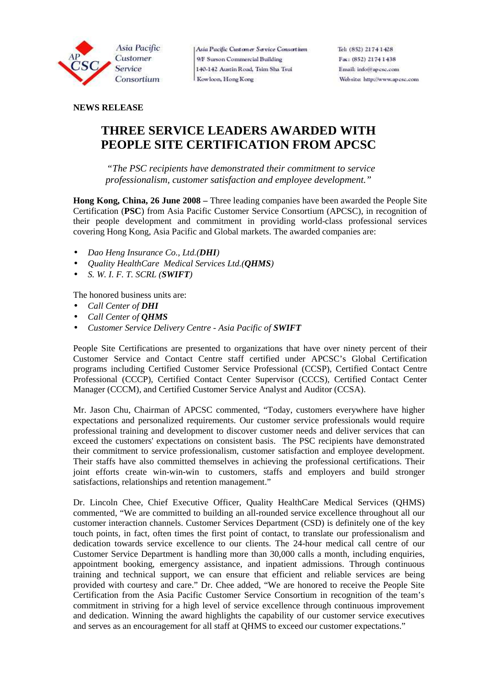

Asia Pacific Customer Service Consortium 9/F Surson Commercial Building 140-142 Austin Road, Tsim Sha Tsui Kowloon, Hong Kong

### **NEWS RELEASE**

# **THREE SERVICE LEADERS AWARDED WITH PEOPLE SITE CERTIFICATION FROM APCSC**

 *"The PSC recipients have demonstrated their commitment to service professionalism, customer satisfaction and employee development."* 

**Hong Kong, China, 26 June 2008 –** Three leading companies have been awarded the People Site Certification (**PSC**) from Asia Pacific Customer Service Consortium (APCSC), in recognition of their people development and commitment in providing world-class professional services covering Hong Kong, Asia Pacific and Global markets. The awarded companies are:

- *Dao Heng Insurance Co., Ltd.(DHI)*
- *Quality HealthCare Medical Services Ltd.(QHMS)*
- *S. W. I. F. T. SCRL (SWIFT)*

The honored business units are:

- *Call Center of DHI*
- *Call Center of <i>OHMS*
- *Customer Service Delivery Centre Asia Pacific of SWIFT*

People Site Certifications are presented to organizations that have over ninety percent of their Customer Service and Contact Centre staff certified under APCSC's Global Certification programs including Certified Customer Service Professional (CCSP), Certified Contact Centre Professional (CCCP), Certified Contact Center Supervisor (CCCS), Certified Contact Center Manager (CCCM), and Certified Customer Service Analyst and Auditor (CCSA).

Mr. Jason Chu, Chairman of APCSC commented, "Today, customers everywhere have higher expectations and personalized requirements. Our customer service professionals would require professional training and development to discover customer needs and deliver services that can exceed the customers' expectations on consistent basis. The PSC recipients have demonstrated their commitment to service professionalism, customer satisfaction and employee development. Their staffs have also committed themselves in achieving the professional certifications. Their joint efforts create win-win-win to customers, staffs and employers and build stronger satisfactions, relationships and retention management."

Dr. Lincoln Chee, Chief Executive Officer, Quality HealthCare Medical Services (QHMS) commented, "We are committed to building an all-rounded service excellence throughout all our customer interaction channels. Customer Services Department (CSD) is definitely one of the key touch points, in fact, often times the first point of contact, to translate our professionalism and dedication towards service excellence to our clients. The 24-hour medical call centre of our Customer Service Department is handling more than 30,000 calls a month, including enquiries, appointment booking, emergency assistance, and inpatient admissions. Through continuous training and technical support, we can ensure that efficient and reliable services are being provided with courtesy and care." Dr. Chee added, "We are honored to receive the People Site Certification from the Asia Pacific Customer Service Consortium in recognition of the team's commitment in striving for a high level of service excellence through continuous improvement and dedication. Winning the award highlights the capability of our customer service executives and serves as an encouragement for all staff at QHMS to exceed our customer expectations."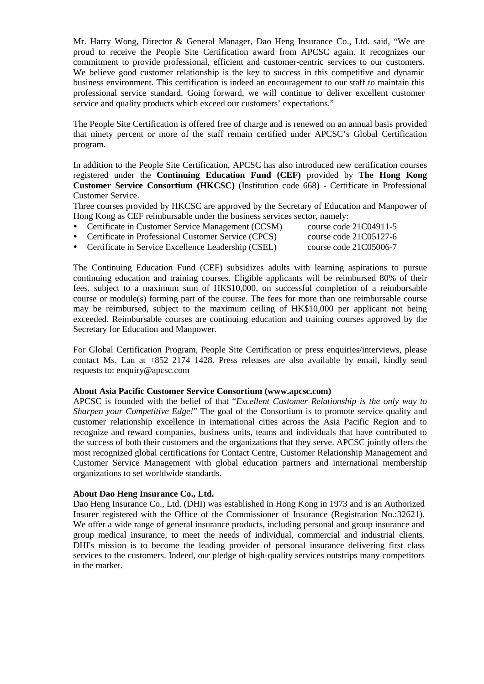Mr. Harry Wong, Director & General Manager, Dao Heng Insurance Co., Ltd. said, "We are proud to receive the People Site Certification award from APCSC again. It recognizes our commitment to provide professional, efficient and customer-centric services to our customers. We believe good customer relationship is the key to success in this competitive and dynamic business environment. This certification is indeed an encouragement to our staff to maintain this professional service standard. Going forward, we will continue to deliver excellent customer service and quality products which exceed our customers' expectations."

The People Site Certification is offered free of charge and is renewed on an annual basis provided that ninety percent or more of the staff remain certified under APCSC's Global Certification program.

In addition to the People Site Certification, APCSC has also introduced new certification courses registered under the **Continuing Education Fund (CEF)** provided by **The Hong Kong Customer Service Consortium (HKCSC)** (Institution code 668) - Certificate in Professional Customer Service.

Three courses provided by HKCSC are approved by the Secretary of Education and Manpower of Hong Kong as CEF reimbursable under the business services sector, namely:

- Certificate in Customer Service Management (CCSM) course code 21C04911-5
- Certificate in Professional Customer Service (CPCS) course code 21C05127-6
- 
- Certificate in Service Excellence Leadership (CSEL) course code 21C05006-7

The Continuing Education Fund (CEF) subsidizes adults with learning aspirations to pursue continuing education and training courses. Eligible applicants will be reimbursed 80% of their fees, subject to a maximum sum of HK\$10,000, on successful completion of a reimbursable course or module(s) forming part of the course. The fees for more than one reimbursable course may be reimbursed, subject to the maximum ceiling of HK\$10,000 per applicant not being exceeded. Reimbursable courses are continuing education and training courses approved by the Secretary for Education and Manpower.

For Global Certification Program, People Site Certification or press enquiries/interviews, please contact Ms. Lau at +852 2174 1428. Press releases are also available by email, kindly send requests to: enquiry@apcsc.com

#### **About Asia Pacific Customer Service Consortium (www.apcsc.com)**

APCSC is founded with the belief of that "*Excellent Customer Relationship is the only way to Sharpen your Competitive Edge!*" The goal of the Consortium is to promote service quality and customer relationship excellence in international cities across the Asia Pacific Region and to recognize and reward companies, business units, teams and individuals that have contributed to the success of both their customers and the organizations that they serve. APCSC jointly offers the most recognized global certifications for Contact Centre, Customer Relationship Management and Customer Service Management with global education partners and international membership organizations to set worldwide standards.

## **About Dao Heng Insurance Co., Ltd.**

Dao Heng Insurance Co., Ltd. (DHI) was established in Hong Kong in 1973 and is an Authorized Insurer registered with the Office of the Commissioner of Insurance (Registration No.:32621). We offer a wide range of general insurance products, including personal and group insurance and group medical insurance, to meet the needs of individual, commercial and industrial clients. DHI's mission is to become the leading provider of personal insurance delivering first class services to the customers. Indeed, our pledge of high-quality services outstrips many competitors in the market.